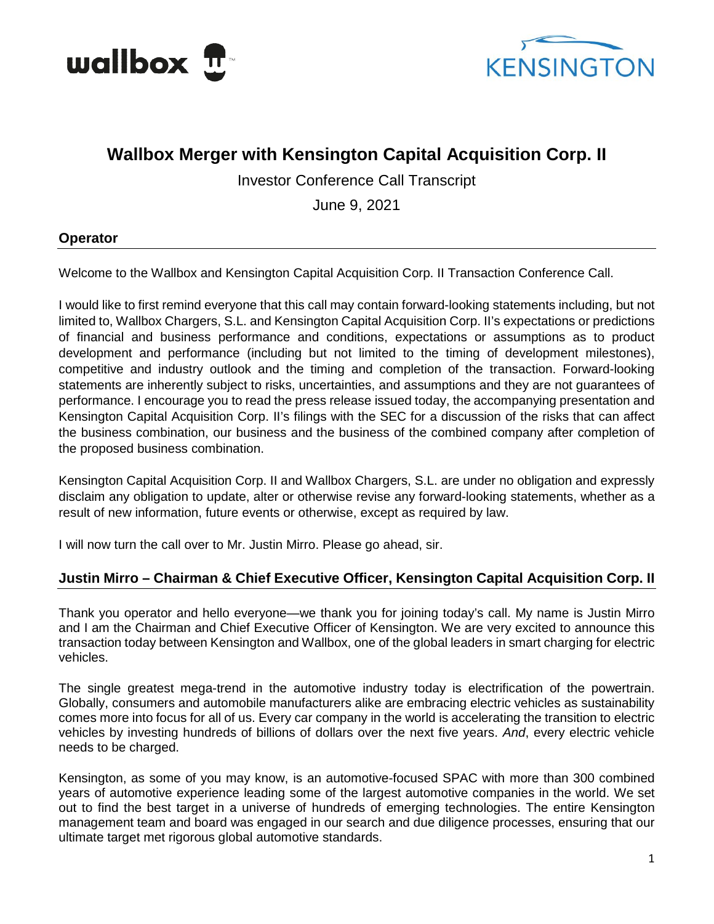



# **Wallbox Merger with Kensington Capital Acquisition Corp. II**

Investor Conference Call Transcript

June 9, 2021

## **Operator**

Welcome to the Wallbox and Kensington Capital Acquisition Corp. II Transaction Conference Call.

I would like to first remind everyone that this call may contain forward-looking statements including, but not limited to, Wallbox Chargers, S.L. and Kensington Capital Acquisition Corp. II's expectations or predictions of financial and business performance and conditions, expectations or assumptions as to product development and performance (including but not limited to the timing of development milestones), competitive and industry outlook and the timing and completion of the transaction. Forward-looking statements are inherently subject to risks, uncertainties, and assumptions and they are not guarantees of performance. I encourage you to read the press release issued today, the accompanying presentation and Kensington Capital Acquisition Corp. II's filings with the SEC for a discussion of the risks that can affect the business combination, our business and the business of the combined company after completion of the proposed business combination.

Kensington Capital Acquisition Corp. II and Wallbox Chargers, S.L. are under no obligation and expressly disclaim any obligation to update, alter or otherwise revise any forward-looking statements, whether as a result of new information, future events or otherwise, except as required by law.

I will now turn the call over to Mr. Justin Mirro. Please go ahead, sir.

## **Justin Mirro – Chairman & Chief Executive Officer, Kensington Capital Acquisition Corp. II**

Thank you operator and hello everyone—we thank you for joining today's call. My name is Justin Mirro and I am the Chairman and Chief Executive Officer of Kensington. We are very excited to announce this transaction today between Kensington and Wallbox, one of the global leaders in smart charging for electric vehicles.

The single greatest mega-trend in the automotive industry today is electrification of the powertrain. Globally, consumers and automobile manufacturers alike are embracing electric vehicles as sustainability comes more into focus for all of us. Every car company in the world is accelerating the transition to electric vehicles by investing hundreds of billions of dollars over the next five years. *And*, every electric vehicle needs to be charged.

Kensington, as some of you may know, is an automotive-focused SPAC with more than 300 combined years of automotive experience leading some of the largest automotive companies in the world. We set out to find the best target in a universe of hundreds of emerging technologies. The entire Kensington management team and board was engaged in our search and due diligence processes, ensuring that our ultimate target met rigorous global automotive standards.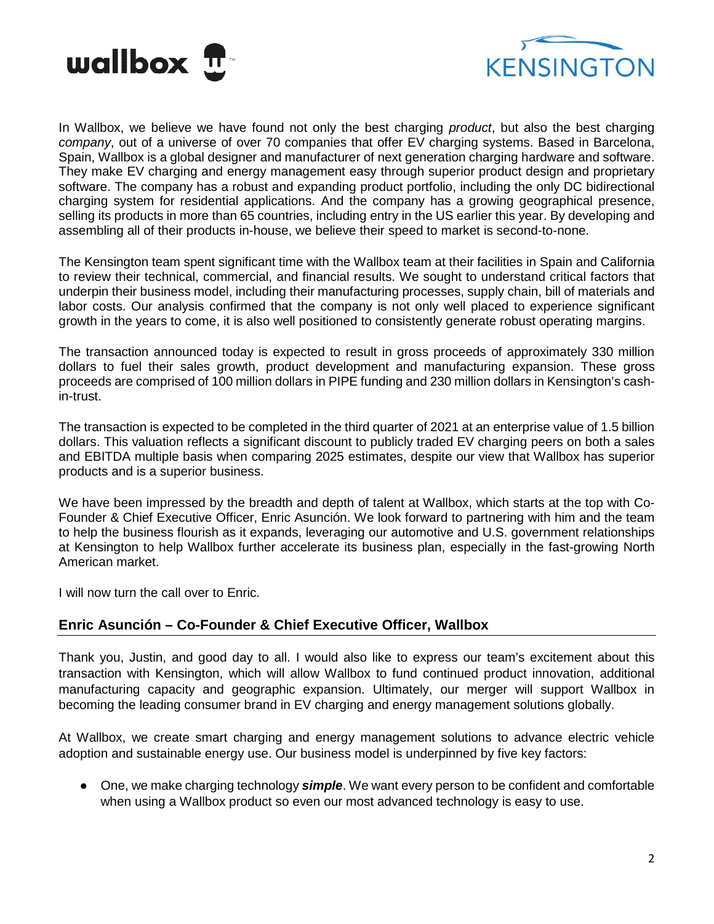



In Wallbox, we believe we have found not only the best charging *product*, but also the best charging *company*, out of a universe of over 70 companies that offer EV charging systems. Based in Barcelona, Spain, Wallbox is a global designer and manufacturer of next generation charging hardware and software. They make EV charging and energy management easy through superior product design and proprietary software. The company has a robust and expanding product portfolio, including the only DC bidirectional charging system for residential applications. And the company has a growing geographical presence, selling its products in more than 65 countries, including entry in the US earlier this year. By developing and assembling all of their products in-house, we believe their speed to market is second-to-none.

The Kensington team spent significant time with the Wallbox team at their facilities in Spain and California to review their technical, commercial, and financial results. We sought to understand critical factors that underpin their business model, including their manufacturing processes, supply chain, bill of materials and labor costs. Our analysis confirmed that the company is not only well placed to experience significant growth in the years to come, it is also well positioned to consistently generate robust operating margins.

The transaction announced today is expected to result in gross proceeds of approximately 330 million dollars to fuel their sales growth, product development and manufacturing expansion. These gross proceeds are comprised of 100 million dollars in PIPE funding and 230 million dollars in Kensington's cashin-trust.

The transaction is expected to be completed in the third quarter of 2021 at an enterprise value of 1.5 billion dollars. This valuation reflects a significant discount to publicly traded EV charging peers on both a sales and EBITDA multiple basis when comparing 2025 estimates, despite our view that Wallbox has superior products and is a superior business.

We have been impressed by the breadth and depth of talent at Wallbox, which starts at the top with Co-Founder & Chief Executive Officer, Enric Asunción. We look forward to partnering with him and the team to help the business flourish as it expands, leveraging our automotive and U.S. government relationships at Kensington to help Wallbox further accelerate its business plan, especially in the fast-growing North American market.

I will now turn the call over to Enric.

## **Enric Asunción – Co-Founder & Chief Executive Officer, Wallbox**

Thank you, Justin, and good day to all. I would also like to express our team's excitement about this transaction with Kensington, which will allow Wallbox to fund continued product innovation, additional manufacturing capacity and geographic expansion. Ultimately, our merger will support Wallbox in becoming the leading consumer brand in EV charging and energy management solutions globally.

At Wallbox, we create smart charging and energy management solutions to advance electric vehicle adoption and sustainable energy use. Our business model is underpinned by five key factors:

● One, we make charging technology **simple**. We want every person to be confident and comfortable when using a Wallbox product so even our most advanced technology is easy to use.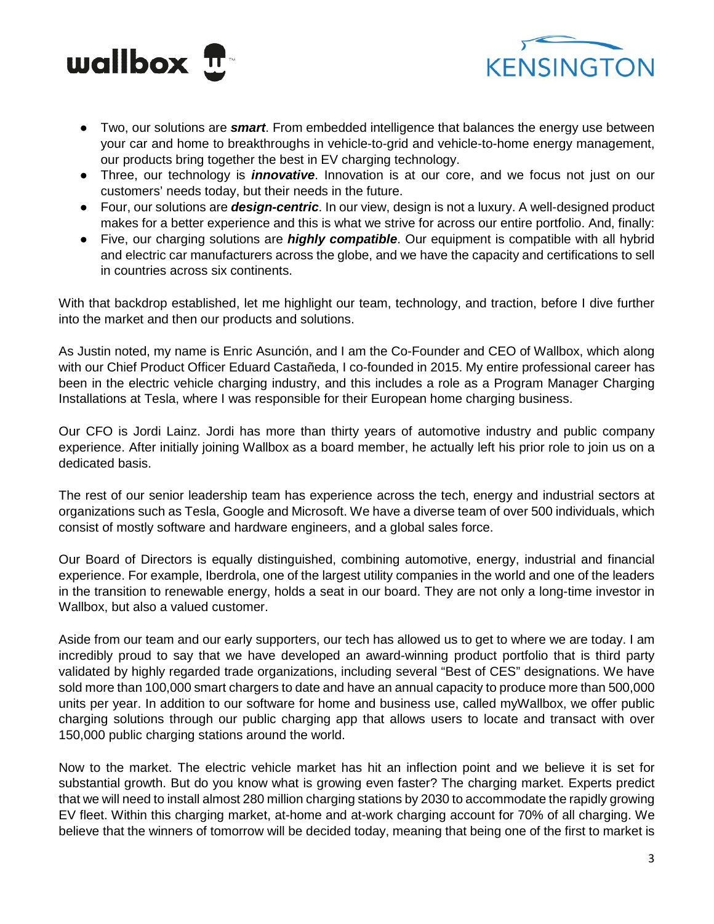



- Two, our solutions are *smart*. From embedded intelligence that balances the energy use between your car and home to breakthroughs in vehicle-to-grid and vehicle-to-home energy management, our products bring together the best in EV charging technology.
- Three, our technology is *innovative*. Innovation is at our core, and we focus not just on our customers' needs today, but their needs in the future.
- Four, our solutions are *design-centric*. In our view, design is not a luxury. A well-designed product makes for a better experience and this is what we strive for across our entire portfolio. And, finally:
- Five, our charging solutions are *highly compatible*. Our equipment is compatible with all hybrid and electric car manufacturers across the globe, and we have the capacity and certifications to sell in countries across six continents.

With that backdrop established, let me highlight our team, technology, and traction, before I dive further into the market and then our products and solutions.

As Justin noted, my name is Enric Asunción, and I am the Co-Founder and CEO of Wallbox, which along with our Chief Product Officer Eduard Castañeda, I co-founded in 2015. My entire professional career has been in the electric vehicle charging industry, and this includes a role as a Program Manager Charging Installations at Tesla, where I was responsible for their European home charging business.

Our CFO is Jordi Lainz. Jordi has more than thirty years of automotive industry and public company experience. After initially joining Wallbox as a board member, he actually left his prior role to join us on a dedicated basis.

The rest of our senior leadership team has experience across the tech, energy and industrial sectors at organizations such as Tesla, Google and Microsoft. We have a diverse team of over 500 individuals, which consist of mostly software and hardware engineers, and a global sales force.

Our Board of Directors is equally distinguished, combining automotive, energy, industrial and financial experience. For example, Iberdrola, one of the largest utility companies in the world and one of the leaders in the transition to renewable energy, holds a seat in our board. They are not only a long-time investor in Wallbox, but also a valued customer.

Aside from our team and our early supporters, our tech has allowed us to get to where we are today. I am incredibly proud to say that we have developed an award-winning product portfolio that is third party validated by highly regarded trade organizations, including several "Best of CES" designations. We have sold more than 100,000 smart chargers to date and have an annual capacity to produce more than 500,000 units per year. In addition to our software for home and business use, called myWallbox, we offer public charging solutions through our public charging app that allows users to locate and transact with over 150,000 public charging stations around the world.

Now to the market. The electric vehicle market has hit an inflection point and we believe it is set for substantial growth. But do you know what is growing even faster? The charging market. Experts predict that we will need to install almost 280 million charging stations by 2030 to accommodate the rapidly growing EV fleet. Within this charging market, at-home and at-work charging account for 70% of all charging. We believe that the winners of tomorrow will be decided today, meaning that being one of the first to market is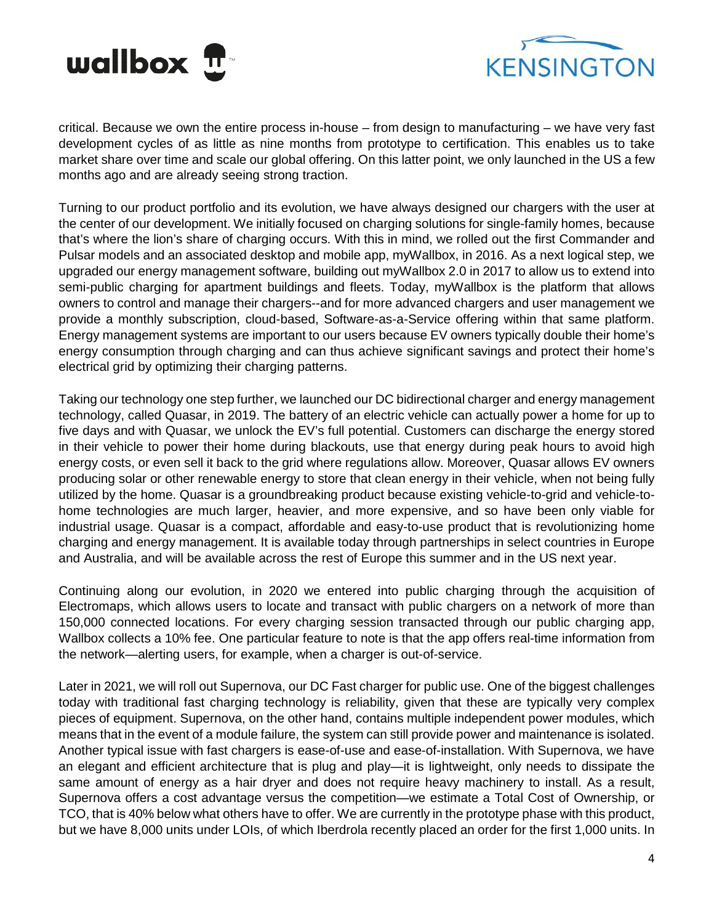



critical. Because we own the entire process in-house – from design to manufacturing – we have very fast development cycles of as little as nine months from prototype to certification. This enables us to take market share over time and scale our global offering. On this latter point, we only launched in the US a few months ago and are already seeing strong traction.

Turning to our product portfolio and its evolution, we have always designed our chargers with the user at the center of our development. We initially focused on charging solutions for single-family homes, because that's where the lion's share of charging occurs. With this in mind, we rolled out the first Commander and Pulsar models and an associated desktop and mobile app, myWallbox, in 2016. As a next logical step, we upgraded our energy management software, building out myWallbox 2.0 in 2017 to allow us to extend into semi-public charging for apartment buildings and fleets. Today, myWallbox is the platform that allows owners to control and manage their chargers--and for more advanced chargers and user management we provide a monthly subscription, cloud-based, Software-as-a-Service offering within that same platform. Energy management systems are important to our users because EV owners typically double their home's energy consumption through charging and can thus achieve significant savings and protect their home's electrical grid by optimizing their charging patterns.

Taking our technology one step further, we launched our DC bidirectional charger and energy management technology, called Quasar, in 2019. The battery of an electric vehicle can actually power a home for up to five days and with Quasar, we unlock the EV's full potential. Customers can discharge the energy stored in their vehicle to power their home during blackouts, use that energy during peak hours to avoid high energy costs, or even sell it back to the grid where regulations allow. Moreover, Quasar allows EV owners producing solar or other renewable energy to store that clean energy in their vehicle, when not being fully utilized by the home. Quasar is a groundbreaking product because existing vehicle-to-grid and vehicle-tohome technologies are much larger, heavier, and more expensive, and so have been only viable for industrial usage. Quasar is a compact, affordable and easy-to-use product that is revolutionizing home charging and energy management. It is available today through partnerships in select countries in Europe and Australia, and will be available across the rest of Europe this summer and in the US next year.

Continuing along our evolution, in 2020 we entered into public charging through the acquisition of Electromaps, which allows users to locate and transact with public chargers on a network of more than 150,000 connected locations. For every charging session transacted through our public charging app, Wallbox collects a 10% fee. One particular feature to note is that the app offers real-time information from the network—alerting users, for example, when a charger is out-of-service.

Later in 2021, we will roll out Supernova, our DC Fast charger for public use. One of the biggest challenges today with traditional fast charging technology is reliability, given that these are typically very complex pieces of equipment. Supernova, on the other hand, contains multiple independent power modules, which means that in the event of a module failure, the system can still provide power and maintenance is isolated. Another typical issue with fast chargers is ease-of-use and ease-of-installation. With Supernova, we have an elegant and efficient architecture that is plug and play—it is lightweight, only needs to dissipate the same amount of energy as a hair dryer and does not require heavy machinery to install. As a result, Supernova offers a cost advantage versus the competition—we estimate a Total Cost of Ownership, or TCO, that is 40% below what others have to offer. We are currently in the prototype phase with this product, but we have 8,000 units under LOIs, of which Iberdrola recently placed an order for the first 1,000 units. In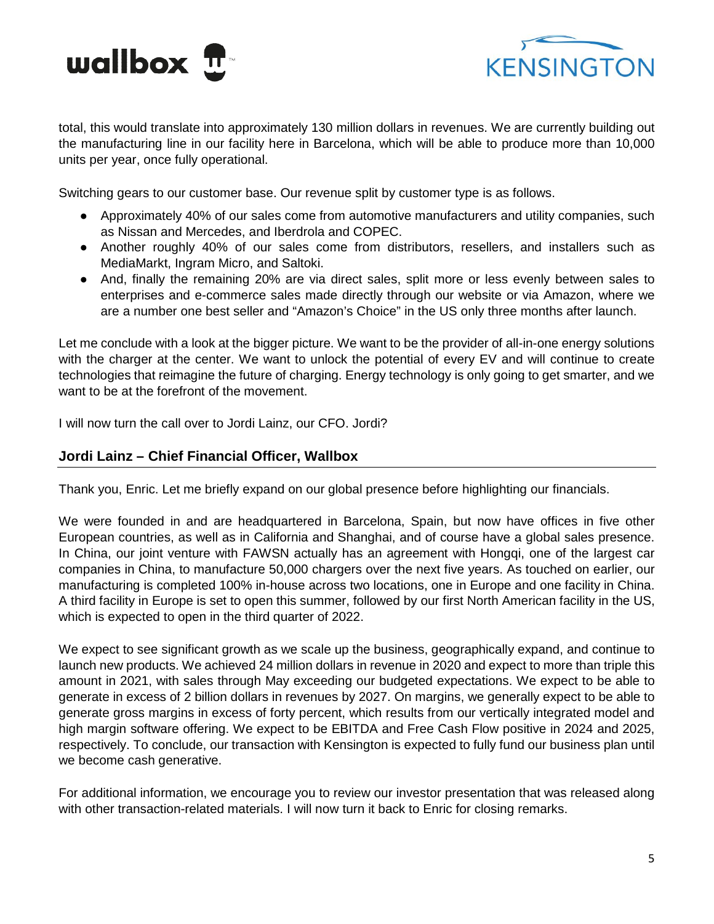



total, this would translate into approximately 130 million dollars in revenues. We are currently building out the manufacturing line in our facility here in Barcelona, which will be able to produce more than 10,000 units per year, once fully operational.

Switching gears to our customer base. Our revenue split by customer type is as follows.

- Approximately 40% of our sales come from automotive manufacturers and utility companies, such as Nissan and Mercedes, and Iberdrola and COPEC.
- Another roughly 40% of our sales come from distributors, resellers, and installers such as MediaMarkt, Ingram Micro, and Saltoki.
- And, finally the remaining 20% are via direct sales, split more or less evenly between sales to enterprises and e-commerce sales made directly through our website or via Amazon, where we are a number one best seller and "Amazon's Choice" in the US only three months after launch.

Let me conclude with a look at the bigger picture. We want to be the provider of all-in-one energy solutions with the charger at the center. We want to unlock the potential of every EV and will continue to create technologies that reimagine the future of charging. Energy technology is only going to get smarter, and we want to be at the forefront of the movement.

I will now turn the call over to Jordi Lainz, our CFO. Jordi?

#### **Jordi Lainz – Chief Financial Officer, Wallbox**

Thank you, Enric. Let me briefly expand on our global presence before highlighting our financials.

We were founded in and are headquartered in Barcelona, Spain, but now have offices in five other European countries, as well as in California and Shanghai, and of course have a global sales presence. In China, our joint venture with FAWSN actually has an agreement with Hongqi, one of the largest car companies in China, to manufacture 50,000 chargers over the next five years. As touched on earlier, our manufacturing is completed 100% in-house across two locations, one in Europe and one facility in China. A third facility in Europe is set to open this summer, followed by our first North American facility in the US, which is expected to open in the third quarter of 2022.

We expect to see significant growth as we scale up the business, geographically expand, and continue to launch new products. We achieved 24 million dollars in revenue in 2020 and expect to more than triple this amount in 2021, with sales through May exceeding our budgeted expectations. We expect to be able to generate in excess of 2 billion dollars in revenues by 2027. On margins, we generally expect to be able to generate gross margins in excess of forty percent, which results from our vertically integrated model and high margin software offering. We expect to be EBITDA and Free Cash Flow positive in 2024 and 2025, respectively. To conclude, our transaction with Kensington is expected to fully fund our business plan until we become cash generative.

For additional information, we encourage you to review our investor presentation that was released along with other transaction-related materials. I will now turn it back to Enric for closing remarks.